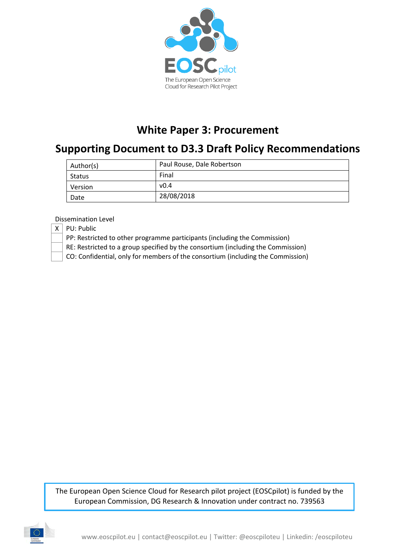

# **White Paper 3: Procurement**

# **Supporting Document to D3.3 Draft Policy Recommendations**

| Author(s) | Paul Rouse, Dale Robertson |  |  |
|-----------|----------------------------|--|--|
| Status    | Final                      |  |  |
| Version   | v0.4                       |  |  |
| Date      | 28/08/2018                 |  |  |

Dissemination Level

 $X \mid PU$ : Public

PP: Restricted to other programme participants (including the Commission)

RE: Restricted to a group specified by the consortium (including the Commission)

CO: Confidential, only for members of the consortium (including the Commission)

The European Open Science Cloud for Research pilot project (EOSCpilot) is funded by the European Commission, DG Research & Innovation under contract no. 739563

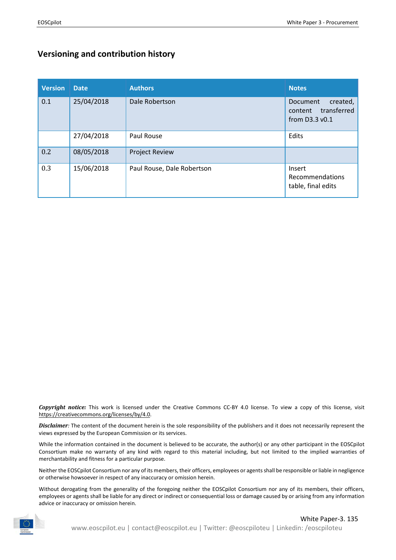#### **Versioning and contribution history**

| <b>Version</b> | <b>Date</b> | <b>Authors</b>             | <b>Notes</b>                                                          |
|----------------|-------------|----------------------------|-----------------------------------------------------------------------|
| 0.1            | 25/04/2018  | Dale Robertson             | Document<br>created,<br>transferred<br>content<br>from $D3.3$ v $0.1$ |
|                | 27/04/2018  | Paul Rouse                 | Edits                                                                 |
| 0.2            | 08/05/2018  | <b>Project Review</b>      |                                                                       |
| 0.3            | 15/06/2018  | Paul Rouse, Dale Robertson | Insert<br>Recommendations<br>table, final edits                       |

*Copyright notice:* This work is licensed under the Creative Commons CC-BY 4.0 license. To view a copy of this license, visit [https://creativecommons.org/licenses/by/4.0.](https://creativecommons.org/licenses/by/4.0)

*Disclaimer:* The content of the document herein is the sole responsibility of the publishers and it does not necessarily represent the views expressed by the European Commission or its services.

While the information contained in the document is believed to be accurate, the author(s) or any other participant in the EOSCpilot Consortium make no warranty of any kind with regard to this material including, but not limited to the implied warranties of merchantability and fitness for a particular purpose.

Neither the EOSCpilot Consortium nor any of its members, their officers, employees or agents shall be responsible or liable in negligence or otherwise howsoever in respect of any inaccuracy or omission herein.

Without derogating from the generality of the foregoing neither the EOSCpilot Consortium nor any of its members, their officers, employees or agents shall be liable for any direct or indirect or consequential loss or damage caused by or arising from any information advice or inaccuracy or omission herein.

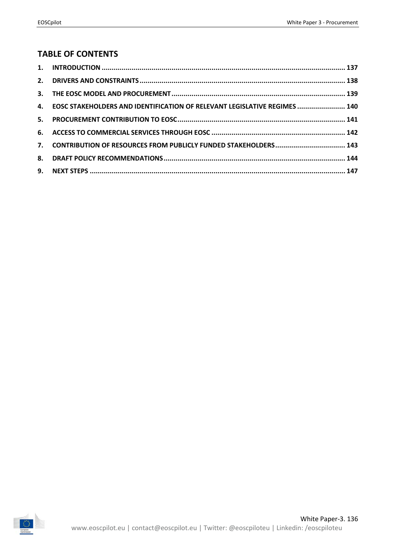#### **TABLE OF CONTENTS**

| 4. EOSC STAKEHOLDERS AND IDENTIFICATION OF RELEVANT LEGISLATIVE REGIMES  140 |  |
|------------------------------------------------------------------------------|--|
|                                                                              |  |
|                                                                              |  |
| 7. CONTRIBUTION OF RESOURCES FROM PUBLICLY FUNDED STAKEHOLDERS 143           |  |
|                                                                              |  |
|                                                                              |  |

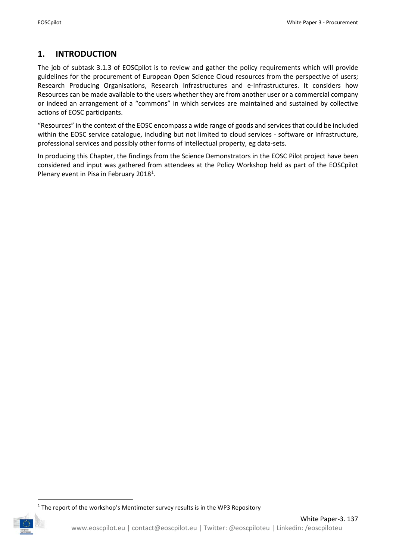# <span id="page-3-0"></span>**1. INTRODUCTION**

The job of subtask 3.1.3 of EOSCpilot is to review and gather the policy requirements which will provide guidelines for the procurement of European Open Science Cloud resources from the perspective of users; Research Producing Organisations, Research Infrastructures and e-Infrastructures. It considers how Resources can be made available to the users whether they are from another user or a commercial company or indeed an arrangement of a "commons" in which services are maintained and sustained by collective actions of EOSC participants.

"Resources" in the context of the EOSC encompass a wide range of goods and services that could be included within the EOSC service catalogue, including but not limited to cloud services - software or infrastructure, professional services and possibly other forms of intellectual property, eg data-sets.

In producing this Chapter, the findings from the Science Demonstrators in the EOSC Pilot project have been considered and input was gathered from attendees at the Policy Workshop held as part of the EOSCpilot Plenary event in Pisa in February 20[1](#page-3-1)8<sup>1</sup>.

<span id="page-3-1"></span> $1$  The report of the workshop's Mentimeter survey results is in the WP3 Repository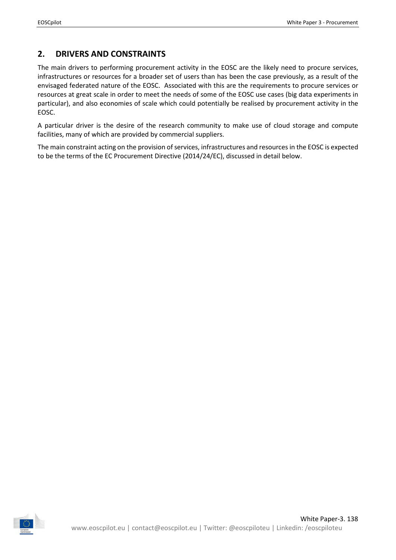# <span id="page-4-0"></span>**2. DRIVERS AND CONSTRAINTS**

The main drivers to performing procurement activity in the EOSC are the likely need to procure services, infrastructures or resources for a broader set of users than has been the case previously, as a result of the envisaged federated nature of the EOSC. Associated with this are the requirements to procure services or resources at great scale in order to meet the needs of some of the EOSC use cases (big data experiments in particular), and also economies of scale which could potentially be realised by procurement activity in the EOSC.

A particular driver is the desire of the research community to make use of cloud storage and compute facilities, many of which are provided by commercial suppliers.

The main constraint acting on the provision of services, infrastructures and resources in the EOSC is expected to be the terms of the EC Procurement Directive (2014/24/EC), discussed in detail below.

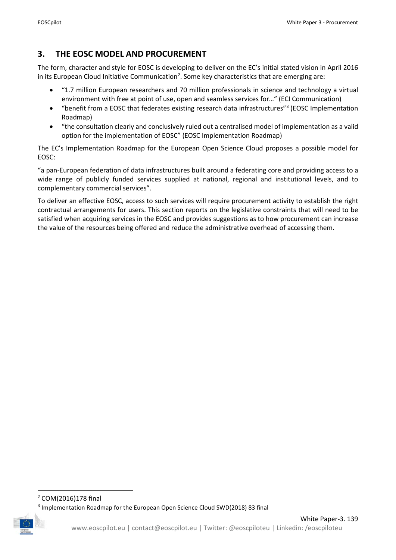# <span id="page-5-0"></span>**3. THE EOSC MODEL AND PROCUREMENT**

The form, character and style for EOSC is developing to deliver on the EC's initial stated vision in April 2016 in its European Cloud Initiative Communication<sup>2</sup>. Some key characteristics that are emerging are:

- "1.7 million European researchers and 70 million professionals in science and technology a virtual environment with free at point of use, open and seamless services for…" (ECI Communication)
- "benefit from a EOSC that federates existing research data infrastructures"[3](#page-5-2) (EOSC Implementation Roadmap)
- "the consultation clearly and conclusively ruled out a centralised model of implementation as a valid option for the implementation of EOSC" (EOSC Implementation Roadmap)

The EC's Implementation Roadmap for the European Open Science Cloud proposes a possible model for EOSC:

"a pan-European federation of data infrastructures built around a federating core and providing access to a wide range of publicly funded services supplied at national, regional and institutional levels, and to complementary commercial services".

To deliver an effective EOSC, access to such services will require procurement activity to establish the right contractual arrangements for users. This section reports on the legislative constraints that will need to be satisfied when acquiring services in the EOSC and provides suggestions as to how procurement can increase the value of the resources being offered and reduce the administrative overhead of accessing them.

<span id="page-5-1"></span> <sup>2</sup> COM(2016)178 final

<span id="page-5-2"></span><sup>3</sup> Implementation Roadmap for the European Open Science Cloud SWD(2018) 83 final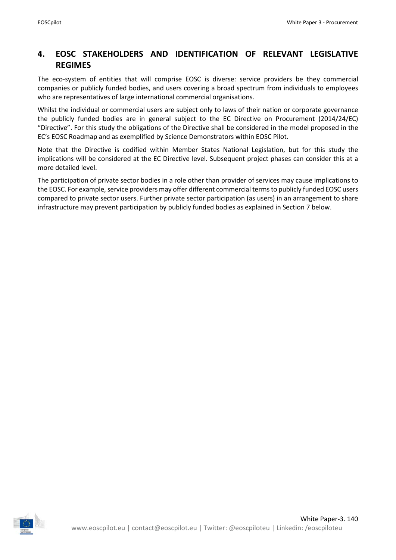## <span id="page-6-0"></span>**4. EOSC STAKEHOLDERS AND IDENTIFICATION OF RELEVANT LEGISLATIVE REGIMES**

The eco-system of entities that will comprise EOSC is diverse: service providers be they commercial companies or publicly funded bodies, and users covering a broad spectrum from individuals to employees who are representatives of large international commercial organisations.

Whilst the individual or commercial users are subject only to laws of their nation or corporate governance the publicly funded bodies are in general subject to the EC Directive on Procurement (2014/24/EC) "Directive". For this study the obligations of the Directive shall be considered in the model proposed in the EC's EOSC Roadmap and as exemplified by Science Demonstrators within EOSC Pilot.

Note that the Directive is codified within Member States National Legislation, but for this study the implications will be considered at the EC Directive level. Subsequent project phases can consider this at a more detailed level.

The participation of private sector bodies in a role other than provider of services may cause implications to the EOSC. For example, service providers may offer different commercial terms to publicly funded EOSC users compared to private sector users. Further private sector participation (as users) in an arrangement to share infrastructure may prevent participation by publicly funded bodies as explained in Section 7 below.

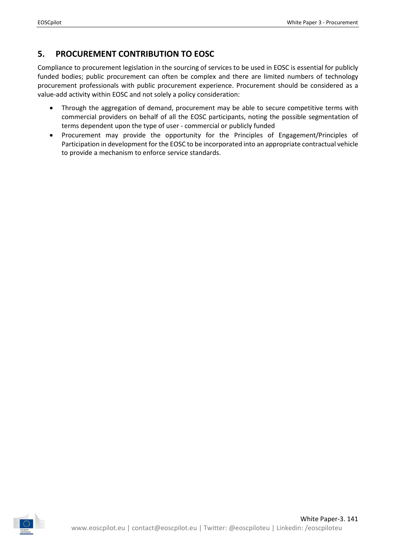# <span id="page-7-0"></span>**5. PROCUREMENT CONTRIBUTION TO EOSC**

Compliance to procurement legislation in the sourcing of services to be used in EOSC is essential for publicly funded bodies; public procurement can often be complex and there are limited numbers of technology procurement professionals with public procurement experience. Procurement should be considered as a value-add activity within EOSC and not solely a policy consideration:

- Through the aggregation of demand, procurement may be able to secure competitive terms with commercial providers on behalf of all the EOSC participants, noting the possible segmentation of terms dependent upon the type of user - commercial or publicly funded
- Procurement may provide the opportunity for the Principles of Engagement/Principles of Participation in development for the EOSC to be incorporated into an appropriate contractual vehicle to provide a mechanism to enforce service standards.

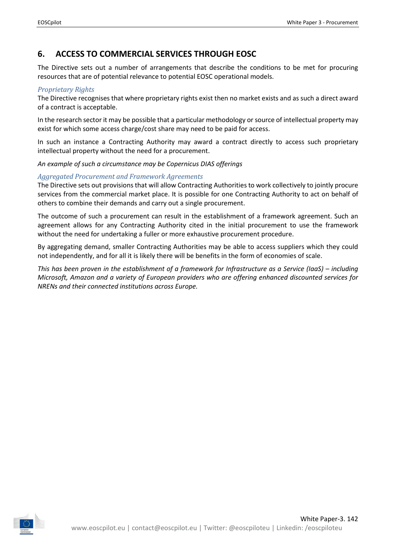### <span id="page-8-0"></span>**6. ACCESS TO COMMERCIAL SERVICES THROUGH EOSC**

The Directive sets out a number of arrangements that describe the conditions to be met for procuring resources that are of potential relevance to potential EOSC operational models.

#### *Proprietary Rights*

The Directive recognises that where proprietary rights exist then no market exists and as such a direct award of a contract is acceptable.

In the research sector it may be possible that a particular methodology or source of intellectual property may exist for which some access charge/cost share may need to be paid for access.

In such an instance a Contracting Authority may award a contract directly to access such proprietary intellectual property without the need for a procurement.

*An example of such a circumstance may be Copernicus DIAS offerings*

#### *Aggregated Procurement and Framework Agreements*

The Directive sets out provisions that will allow Contracting Authorities to work collectively to jointly procure services from the commercial market place. It is possible for one Contracting Authority to act on behalf of others to combine their demands and carry out a single procurement.

The outcome of such a procurement can result in the establishment of a framework agreement. Such an agreement allows for any Contracting Authority cited in the initial procurement to use the framework without the need for undertaking a fuller or more exhaustive procurement procedure.

By aggregating demand, smaller Contracting Authorities may be able to access suppliers which they could not independently, and for all it is likely there will be benefits in the form of economies of scale.

*This has been proven in the establishment of a framework for Infrastructure as a Service (IaaS) – including Microsoft, Amazon and a variety of European providers who are offering enhanced discounted services for NRENs and their connected institutions across Europe.*

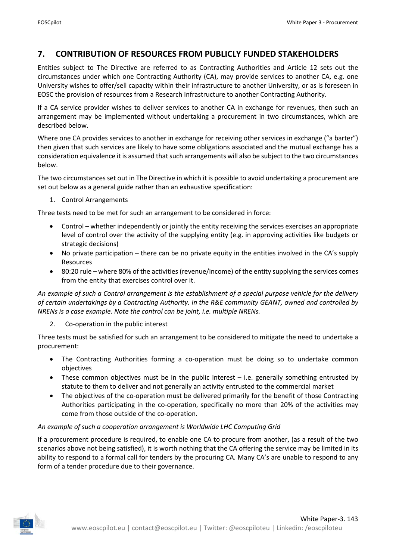### <span id="page-9-0"></span>**7. CONTRIBUTION OF RESOURCES FROM PUBLICLY FUNDED STAKEHOLDERS**

Entities subject to The Directive are referred to as Contracting Authorities and Article 12 sets out the circumstances under which one Contracting Authority (CA), may provide services to another CA, e.g. one University wishes to offer/sell capacity within their infrastructure to another University, or as is foreseen in EOSC the provision of resources from a Research Infrastructure to another Contracting Authority.

If a CA service provider wishes to deliver services to another CA in exchange for revenues, then such an arrangement may be implemented without undertaking a procurement in two circumstances, which are described below.

Where one CA provides services to another in exchange for receiving other services in exchange ("a barter") then given that such services are likely to have some obligations associated and the mutual exchange has a consideration equivalence it is assumed that such arrangements will also be subject to the two circumstances below.

The two circumstances set out in The Directive in which it is possible to avoid undertaking a procurement are set out below as a general guide rather than an exhaustive specification:

1. Control Arrangements

Three tests need to be met for such an arrangement to be considered in force:

- Control whether independently or jointly the entity receiving the services exercises an appropriate level of control over the activity of the supplying entity (e.g. in approving activities like budgets or strategic decisions)
- No private participation there can be no private equity in the entities involved in the CA's supply Resources
- 80:20 rule where 80% of the activities (revenue/income) of the entity supplying the services comes from the entity that exercises control over it.

*An example of such a Control arrangement is the establishment of a special purpose vehicle for the delivery of certain undertakings by a Contracting Authority. In the R&E community GEANT, owned and controlled by NRENs is a case example. Note the control can be joint, i.e. multiple NRENs.*

2. Co-operation in the public interest

Three tests must be satisfied for such an arrangement to be considered to mitigate the need to undertake a procurement:

- The Contracting Authorities forming a co-operation must be doing so to undertake common objectives
- These common objectives must be in the public interest i.e. generally something entrusted by statute to them to deliver and not generally an activity entrusted to the commercial market
- The objectives of the co-operation must be delivered primarily for the benefit of those Contracting Authorities participating in the co-operation, specifically no more than 20% of the activities may come from those outside of the co-operation.

#### *An example of such a cooperation arrangement is Worldwide LHC Computing Grid*

If a procurement procedure is required, to enable one CA to procure from another, (as a result of the two scenarios above not being satisfied), it is worth nothing that the CA offering the service may be limited in its ability to respond to a formal call for tenders by the procuring CA. Many CA's are unable to respond to any form of a tender procedure due to their governance.

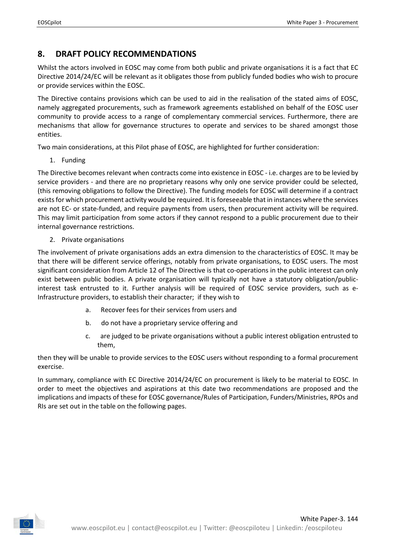## <span id="page-10-0"></span>**8. DRAFT POLICY RECOMMENDATIONS**

Whilst the actors involved in EOSC may come from both public and private organisations it is a fact that EC Directive 2014/24/EC will be relevant as it obligates those from publicly funded bodies who wish to procure or provide services within the EOSC.

The Directive contains provisions which can be used to aid in the realisation of the stated aims of EOSC, namely aggregated procurements, such as framework agreements established on behalf of the EOSC user community to provide access to a range of complementary commercial services. Furthermore, there are mechanisms that allow for governance structures to operate and services to be shared amongst those entities.

Two main considerations, at this Pilot phase of EOSC, are highlighted for further consideration:

1. Funding

The Directive becomes relevant when contracts come into existence in EOSC - i.e. charges are to be levied by service providers - and there are no proprietary reasons why only one service provider could be selected, (this removing obligations to follow the Directive). The funding models for EOSC will determine if a contract exists for which procurement activity would be required. It is foreseeable that in instances where the services are not EC- or state-funded, and require payments from users, then procurement activity will be required. This may limit participation from some actors if they cannot respond to a public procurement due to their internal governance restrictions.

2. Private organisations

The involvement of private organisations adds an extra dimension to the characteristics of EOSC. It may be that there will be different service offerings, notably from private organisations, to EOSC users. The most significant consideration from Article 12 of The Directive is that co-operations in the public interest can only exist between public bodies. A private organisation will typically not have a statutory obligation/publicinterest task entrusted to it. Further analysis will be required of EOSC service providers, such as e-Infrastructure providers, to establish their character; if they wish to

- a. Recover fees for their services from users and
- b. do not have a proprietary service offering and
- c. are judged to be private organisations without a public interest obligation entrusted to them,

then they will be unable to provide services to the EOSC users without responding to a formal procurement exercise.

In summary, compliance with EC Directive 2014/24/EC on procurement is likely to be material to EOSC. In order to meet the objectives and aspirations at this date two recommendations are proposed and the implications and impacts of these for EOSC governance/Rules of Participation, Funders/Ministries, RPOs and RIs are set out in the table on the following pages.

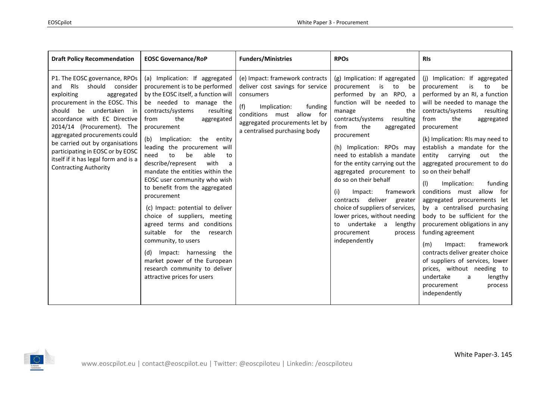| <b>Draft Policy Recommendation</b>                                                                                                                                                                                                                                                                                                                                                                             | <b>EOSC Governance/RoP</b>                                                                                                                                                                                                                                                                                                                                                                                                                                                                                                                                                                                                                                                                                                                                          | <b>Funders/Ministries</b>                                                                                                                                                                                             | <b>RPOs</b>                                                                                                                                                                                                                                                                                                                                                                                                                                                                                                                                                                                | <b>RIs</b>                                                                                                                                                                                                                                                                                                                                                                                                                                                                                                                                                                                                                                                                                                                                                                                                    |
|----------------------------------------------------------------------------------------------------------------------------------------------------------------------------------------------------------------------------------------------------------------------------------------------------------------------------------------------------------------------------------------------------------------|---------------------------------------------------------------------------------------------------------------------------------------------------------------------------------------------------------------------------------------------------------------------------------------------------------------------------------------------------------------------------------------------------------------------------------------------------------------------------------------------------------------------------------------------------------------------------------------------------------------------------------------------------------------------------------------------------------------------------------------------------------------------|-----------------------------------------------------------------------------------------------------------------------------------------------------------------------------------------------------------------------|--------------------------------------------------------------------------------------------------------------------------------------------------------------------------------------------------------------------------------------------------------------------------------------------------------------------------------------------------------------------------------------------------------------------------------------------------------------------------------------------------------------------------------------------------------------------------------------------|---------------------------------------------------------------------------------------------------------------------------------------------------------------------------------------------------------------------------------------------------------------------------------------------------------------------------------------------------------------------------------------------------------------------------------------------------------------------------------------------------------------------------------------------------------------------------------------------------------------------------------------------------------------------------------------------------------------------------------------------------------------------------------------------------------------|
| P1. The EOSC governance, RPOs<br><b>RIS</b><br>should consider<br>and<br>exploiting<br>aggregated<br>procurement in the EOSC. This<br>should<br>be undertaken in<br>accordance with EC Directive<br>2014/14 (Procurement). The<br>aggregated procurements could<br>be carried out by organisations<br>participating in EOSC or by EOSC<br>itself if it has legal form and is a<br><b>Contracting Authority</b> | (a) Implication: If aggregated<br>procurement is to be performed<br>by the EOSC itself, a function will<br>be needed to manage the<br>contracts/systems<br>resulting<br>the<br>from<br>aggregated<br>procurement<br>(b)<br>Implication: the entity<br>leading the procurement will<br>able<br>be<br>need<br>to<br>to<br>describe/represent<br>with<br>a<br>mandate the entities within the<br>EOSC user community who wish<br>to benefit from the aggregated<br>procurement<br>(c) Impact: potential to deliver<br>choice of suppliers, meeting<br>agreed terms and conditions<br>suitable for the<br>research<br>community, to users<br>(d) Impact: harnessing the<br>market power of the European<br>research community to deliver<br>attractive prices for users | (e) Impact: framework contracts<br>deliver cost savings for service<br>consumers<br>(f)<br>Implication:<br>funding<br>must allow for<br>conditions<br>aggregated procurements let by<br>a centralised purchasing body | (g) Implication: If aggregated<br>procurement<br>is<br>to<br>be<br>performed by an RPO, a<br>function will be needed to<br>manage<br>the<br>contracts/systems resulting<br>from<br>the<br>aggregated<br>procurement<br>(h) Implication: RPOs may<br>need to establish a mandate<br>for the entity carrying out the<br>aggregated procurement to<br>do so on their behalf<br>framework<br>(i)<br>Impact:<br>deliver<br>contracts<br>greater<br>choice of suppliers of services,<br>lower prices, without needing<br>undertake a<br>lengthy<br>to<br>procurement<br>process<br>independently | (j) Implication: If aggregated<br>is<br>to<br>procurement<br>be<br>performed by an RI, a function<br>will be needed to manage the<br>contracts/systems<br>resulting<br>the<br>from<br>aggregated<br>procurement<br>(k) Implication: RIs may need to<br>establish a mandate for the<br>entity<br>carrying<br>out<br>the<br>aggregated procurement to do<br>so on their behalf<br>(1)<br>Implication:<br>funding<br>conditions must allow for<br>aggregated procurements let<br>by a centralised purchasing<br>body to be sufficient for the<br>procurement obligations in any<br>funding agreement<br>framework<br>Impact:<br>(m)<br>contracts deliver greater choice<br>of suppliers of services, lower<br>prices, without needing to<br>undertake<br>lengthy<br>a<br>procurement<br>process<br>independently |

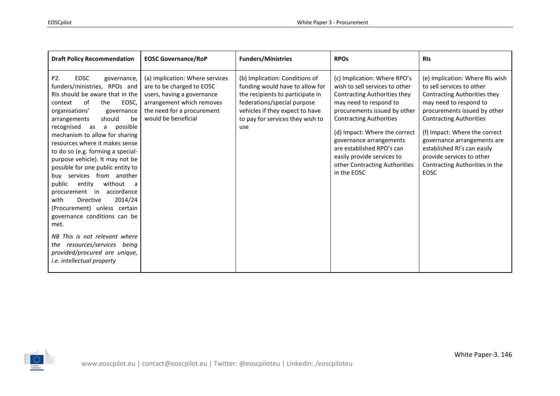| <b>Draft Policy Recommendation</b>                                                                                                                                                                                                                                                                                                                                                                                                                                                                                                                                                                                                                                                                                                                                         | <b>EOSC Governance/RoP</b>                                                                                                                                                   | <b>Funders/Ministries</b>                                                                                                                                                                                          | <b>RPOs</b>                                                                                                                                                                                                                                                                                                                                                              | <b>RIS</b>                                                                                                                                                                                                                                                                                                                                                            |
|----------------------------------------------------------------------------------------------------------------------------------------------------------------------------------------------------------------------------------------------------------------------------------------------------------------------------------------------------------------------------------------------------------------------------------------------------------------------------------------------------------------------------------------------------------------------------------------------------------------------------------------------------------------------------------------------------------------------------------------------------------------------------|------------------------------------------------------------------------------------------------------------------------------------------------------------------------------|--------------------------------------------------------------------------------------------------------------------------------------------------------------------------------------------------------------------|--------------------------------------------------------------------------------------------------------------------------------------------------------------------------------------------------------------------------------------------------------------------------------------------------------------------------------------------------------------------------|-----------------------------------------------------------------------------------------------------------------------------------------------------------------------------------------------------------------------------------------------------------------------------------------------------------------------------------------------------------------------|
| EOSC<br>P2.<br>governance,<br>funders/ministries, RPOs and<br>RIs should be aware that in the<br>of<br>EOSC,<br>context<br>the<br>organisations'<br>governance<br>should<br>be<br>arrangements<br>recognised<br>possible<br>as<br>a<br>mechanism to allow for sharing<br>resources where it makes sense<br>to do so (e.g. forming a special-<br>purpose vehicle). It may not be<br>possible for one public entity to<br>services from another<br>buy<br>without<br>public<br>entity<br>a<br>procurement in<br>accordance<br><b>Directive</b><br>2014/24<br>with<br>(Procurement) unless certain<br>governance conditions can be<br>met.<br>NB This is not relevant where<br>resources/services being<br>the<br>provided/procured are unique,<br>i.e. intellectual property | (a) Implication: Where services<br>are to be charged to EOSC<br>users, having a governance<br>arrangement which removes<br>the need for a procurement<br>would be beneficial | (b) Implication: Conditions of<br>funding would have to allow for<br>the recipients to participate in<br>federations/special purpose<br>vehicles if they expect to have<br>to pay for services they wish to<br>use | (c) Implication: Where RPO's<br>wish to sell services to other<br><b>Contracting Authorities they</b><br>may need to respond to<br>procurements issued by other<br><b>Contracting Authorities</b><br>(d) Impact: Where the correct<br>governance arrangements<br>are established RPO's can<br>easily provide services to<br>other Contracting Authorities<br>in the EOSC | (e) Implication: Where RIs wish<br>to sell services to other<br>Contracting Authorities they<br>may need to respond to<br>procurements issued by other<br><b>Contracting Authorities</b><br>(f) Impact: Where the correct<br>governance arrangements are<br>established RI's can easily<br>provide services to other<br>Contracting Authorities in the<br><b>EOSC</b> |